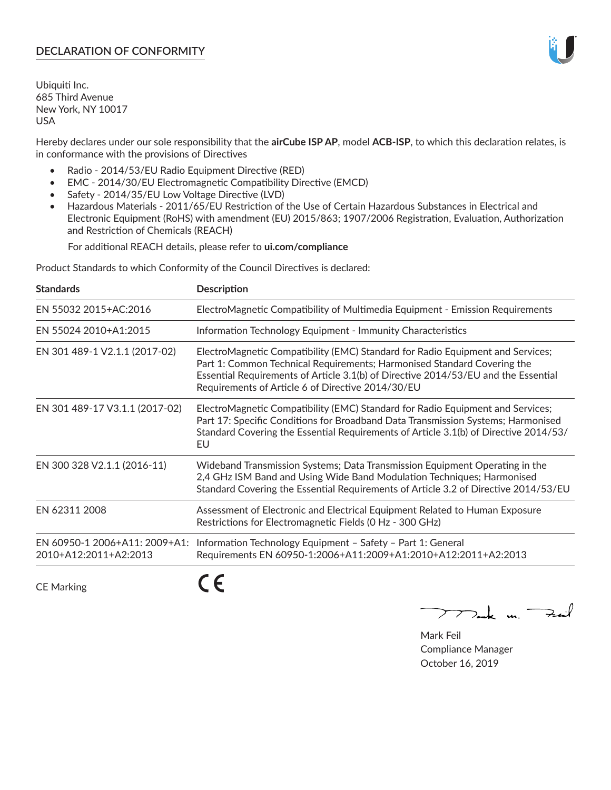## **DECLARATION OF CONFORMITY**

Ubiquiti Inc. 685 Third Avenue New York, NY 10017 USA

Hereby declares under our sole responsibility that the **airCube ISP AP**, model **ACB-ISP**, to which this declaration relates, is in conformance with the provisions of Directives

- Radio 2014/53/EU Radio Equipment Directive (RED)
- EMC 2014/30/EU Electromagnetic Compatibility Directive (EMCD)
- Safety 2014/35/EU Low Voltage Directive (LVD)
- Hazardous Materials 2011/65/EU Restriction of the Use of Certain Hazardous Substances in Electrical and Electronic Equipment (RoHS) with amendment (EU) 2015/863; 1907/2006 Registration, Evaluation, Authorization and Restriction of Chemicals (REACH)

For additional REACH details, please refer to **ui.com/compliance**

Product Standards to which Conformity of the Council Directives is declared:

| <b>Standards</b>                                       | <b>Description</b>                                                                                                                                                                                                                                                                                   |
|--------------------------------------------------------|------------------------------------------------------------------------------------------------------------------------------------------------------------------------------------------------------------------------------------------------------------------------------------------------------|
| EN 55032 2015+AC:2016                                  | ElectroMagnetic Compatibility of Multimedia Equipment - Emission Requirements                                                                                                                                                                                                                        |
| EN 55024 2010+A1:2015                                  | Information Technology Equipment - Immunity Characteristics                                                                                                                                                                                                                                          |
| EN 301 489-1 V2.1.1 (2017-02)                          | ElectroMagnetic Compatibility (EMC) Standard for Radio Equipment and Services;<br>Part 1: Common Technical Requirements; Harmonised Standard Covering the<br>Essential Requirements of Article 3.1(b) of Directive 2014/53/EU and the Essential<br>Requirements of Article 6 of Directive 2014/30/EU |
| EN 301 489-17 V3.1.1 (2017-02)                         | ElectroMagnetic Compatibility (EMC) Standard for Radio Equipment and Services;<br>Part 17: Specific Conditions for Broadband Data Transmission Systems; Harmonised<br>Standard Covering the Essential Requirements of Article 3.1(b) of Directive 2014/53/<br>EU                                     |
| EN 300 328 V2.1.1 (2016-11)                            | Wideband Transmission Systems; Data Transmission Equipment Operating in the<br>2,4 GHz ISM Band and Using Wide Band Modulation Techniques; Harmonised<br>Standard Covering the Essential Requirements of Article 3.2 of Directive 2014/53/EU                                                         |
| EN 62311 2008                                          | Assessment of Electronic and Electrical Equipment Related to Human Exposure<br>Restrictions for Electromagnetic Fields (0 Hz - 300 GHz)                                                                                                                                                              |
| EN 60950-1 2006+A11: 2009+A1:<br>2010+A12:2011+A2:2013 | Information Technology Equipment - Safety - Part 1: General<br>Requirements EN 60950-1:2006+A11:2009+A1:2010+A12:2011+A2:2013                                                                                                                                                                        |
|                                                        |                                                                                                                                                                                                                                                                                                      |

CE Marking

CE

 $\sum$  and  $\sum_{i=1}^{n}$ 

Mark Feil Compliance Manager October 16, 2019

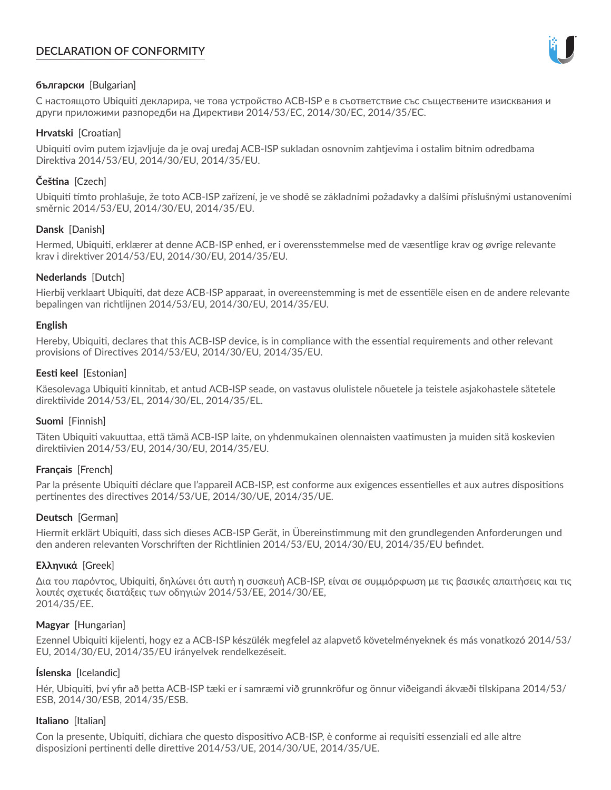# **DECLARATION OF CONFORMITY**



## **български** [Bulgarian]

С настоящото Ubiquiti декларира, че това устройство ACB-ISP е в съответствие със съществените изисквания и други приложими разпоредби на Директиви 2014/53/EC, 2014/30/ЕС, 2014/35/ЕС.

## **Hrvatski** [Croatian]

Ubiquiti ovim putem izjavljuje da je ovaj uređaj ACB-ISP sukladan osnovnim zahtjevima i ostalim bitnim odredbama Direktiva 2014/53/EU, 2014/30/EU, 2014/35/EU.

# **Čeština** [Czech]

Ubiquiti tímto prohlašuje, že toto ACB-ISP zařízení, je ve shodě se základními požadavky a dalšími příslušnými ustanoveními směrnic 2014/53/EU, 2014/30/EU, 2014/35/EU.

## **Dansk** [Danish]

Hermed, Ubiquiti, erklærer at denne ACB-ISP enhed, er i overensstemmelse med de væsentlige krav og øvrige relevante krav i direktiver 2014/53/EU, 2014/30/EU, 2014/35/EU.

## **Nederlands** [Dutch]

Hierbij verklaart Ubiquiti, dat deze ACB-ISP apparaat, in overeenstemming is met de essentiële eisen en de andere relevante bepalingen van richtlijnen 2014/53/EU, 2014/30/EU, 2014/35/EU.

## **English**

Hereby, Ubiquiti, declares that this ACB-ISP device, is in compliance with the essential requirements and other relevant provisions of Directives 2014/53/EU, 2014/30/EU, 2014/35/EU.

## **Eesti keel** [Estonian]

Käesolevaga Ubiquiti kinnitab, et antud ACB-ISP seade, on vastavus olulistele nõuetele ja teistele asjakohastele sätetele direktiivide 2014/53/EL, 2014/30/EL, 2014/35/EL.

## **Suomi** [Finnish]

Täten Ubiquiti vakuuttaa, että tämä ACB-ISP laite, on yhdenmukainen olennaisten vaatimusten ja muiden sitä koskevien direktiivien 2014/53/EU, 2014/30/EU, 2014/35/EU.

# **Français** [French]

Par la présente Ubiquiti déclare que l'appareil ACB-ISP, est conforme aux exigences essentielles et aux autres dispositions pertinentes des directives 2014/53/UE, 2014/30/UE, 2014/35/UE.

## **Deutsch** [German]

Hiermit erklärt Ubiquiti, dass sich dieses ACB-ISP Gerät, in Übereinstimmung mit den grundlegenden Anforderungen und den anderen relevanten Vorschriften der Richtlinien 2014/53/EU, 2014/30/EU, 2014/35/EU befindet.

## **Ελληνικά** [Greek]

Δια του παρόντος, Ubiquiti, δηλώνει ότι αυτή η συσκευή ACB-ISP, είναι σε συμμόρφωση με τις βασικές απαιτήσεις και τις λοιπές σχετικές διατάξεις των οδηγιών 2014/53/EE, 2014/30/EE, 2014/35/EE.

## **Magyar** [Hungarian]

Ezennel Ubiquiti kijelenti, hogy ez a ACB-ISP készülék megfelel az alapvető követelményeknek és más vonatkozó 2014/53/ EU, 2014/30/EU, 2014/35/EU irányelvek rendelkezéseit.

# **Íslenska** [Icelandic]

Hér, Ubiquiti, því yfir að þetta ACB-ISP tæki er í samræmi við grunnkröfur og önnur viðeigandi ákvæði tilskipana 2014/53/ ESB, 2014/30/ESB, 2014/35/ESB.

## **Italiano** [Italian]

Con la presente, Ubiquiti, dichiara che questo dispositivo ACB-ISP, è conforme ai requisiti essenziali ed alle altre disposizioni pertinenti delle direttive 2014/53/UE, 2014/30/UE, 2014/35/UE.